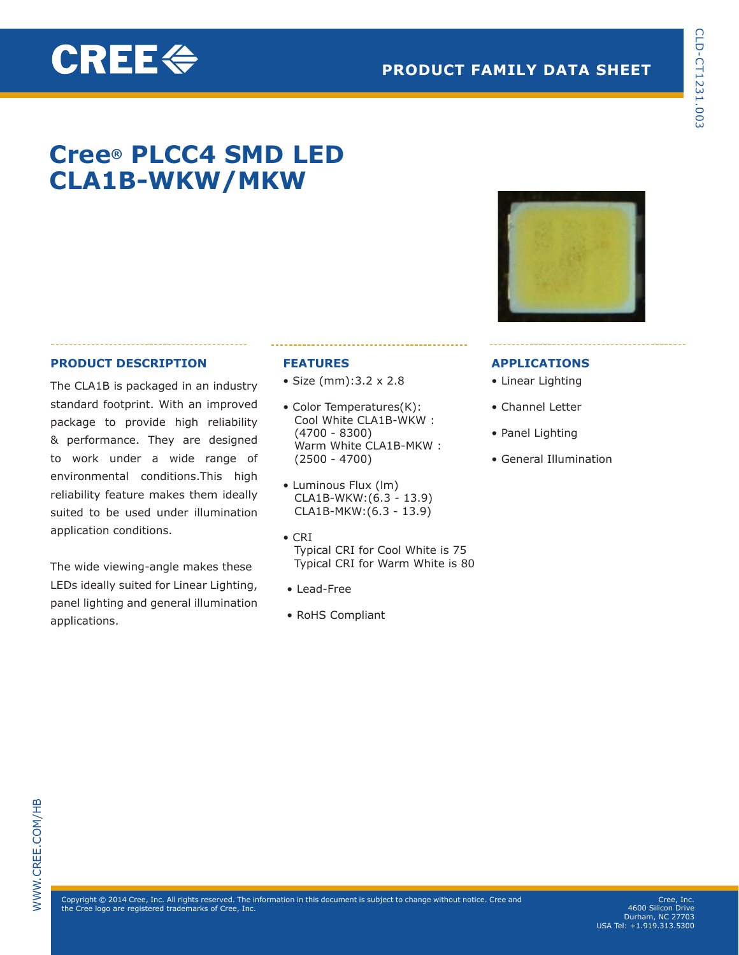## **PRODUCT FAMILY DATA SHEET**

## **Cree® PLCC4 SMD LED CLA1B-WKW/MKW**

## **PRODUCT DESCRIPTION**

**CREE令** 

The CLA1B is packaged in an industry standard footprint. With an improved package to provide high reliability & performance. They are designed to work under a wide range of environmental conditions.This high reliability feature makes them ideally suited to be used under illumination application conditions.

The wide viewing-angle makes these LEDs ideally suited for Linear Lighting, panel lighting and general illumination applications.

## **FEATURES**

- Size (mm):3.2 x 2.8
- Color Temperatures(K): Cool White CLA1B-WKW : (4700 - 8300) Warm White CLA1B-MKW : (2500 - 4700)
- Luminous Flux (lm) CLA1B-WKW:(6.3 - 13.9) CLA1B-MKW:(6.3 - 13.9)
- CRI Typical CRI for Cool White is 75 Typical CRI for Warm White is 80
- Lead-Free
- RoHS Compliant



## **APPLICATIONS**

- Linear Lighting
- Channel Letter
- Panel Lighting
- General Illumination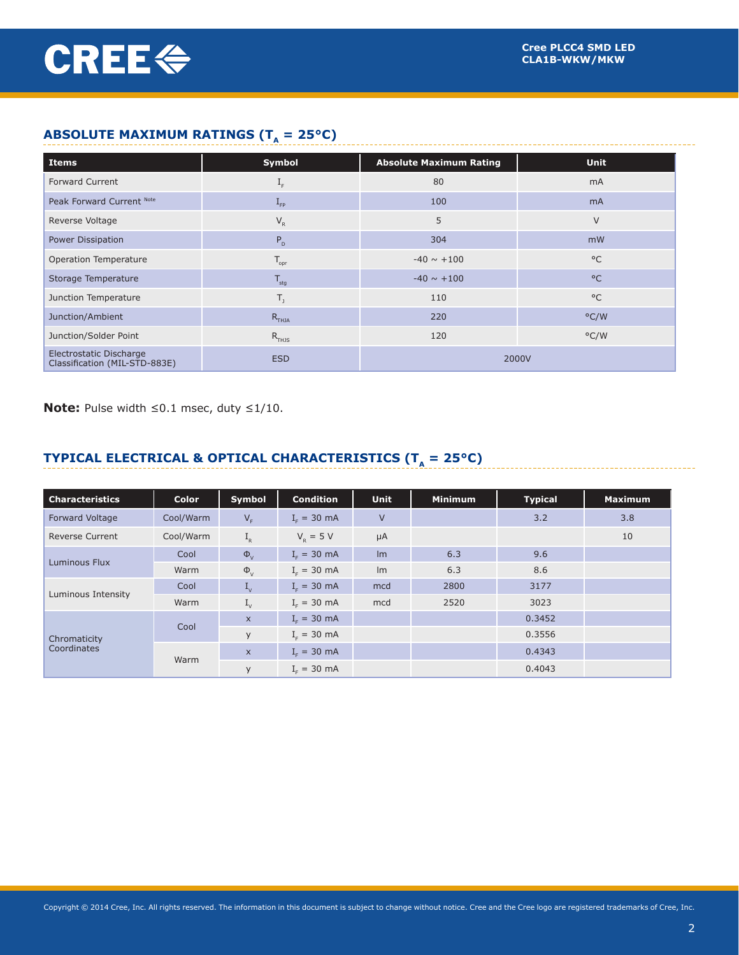## **ABSOLUTE MAXIMUM RATINGS (T<sub>A</sub> = 25°C)**

| ABSULUTE MAXIMUM RATINGS $(I_A = 25^{\circ}C)$           |                     |                                |               |  |  |
|----------------------------------------------------------|---------------------|--------------------------------|---------------|--|--|
| <b>Items</b>                                             | Symbol              | <b>Absolute Maximum Rating</b> | <b>Unit</b>   |  |  |
| <b>Forward Current</b>                                   | $I_F$               | 80                             | mA            |  |  |
| Peak Forward Current Note                                | $I_{\text{FP}}$     | 100                            | <b>mA</b>     |  |  |
| Reverse Voltage                                          | $V_{R}$             | 5                              | $\vee$        |  |  |
| Power Dissipation                                        | $P_{D}$             | 304                            | mW            |  |  |
| Operation Temperature                                    | $T_{\text{opr}}$    | $-40 \sim +100$                | $^{\circ}$ C  |  |  |
| Storage Temperature                                      | $T_{\text{stg}}$    | $-40 \sim +100$                | $^{\circ}$ C  |  |  |
| Junction Temperature                                     | $T_{1}$             | 110                            | $^{\circ}$ C  |  |  |
| Junction/Ambient                                         | $R$ <sub>THJA</sub> | 220                            | $\degree$ C/W |  |  |
| Junction/Solder Point                                    | $R$ <sub>THJS</sub> | 120                            | $\degree$ C/W |  |  |
| Electrostatic Discharge<br>Classification (MIL-STD-883E) | <b>ESD</b>          | 2000V                          |               |  |  |

**Note:** Pulse width ≤0.1 msec, duty ≤1/10.

## **TYPICAL ELECTRICAL & OPTICAL CHARACTERISTICS (** $T_A = 25^{\circ}C$ **)**

| <b>Characteristics</b> | Color     | Symbol                    | <b>Condition</b> | <b>Unit</b> | <b>Minimum</b> | <b>Typical</b> | <b>Maximum</b> |
|------------------------|-----------|---------------------------|------------------|-------------|----------------|----------------|----------------|
| Forward Voltage        | Cool/Warm | $V_F$                     | $IF = 30 mA$     | $\vee$      |                | 3.2            | 3.8            |
| <b>Reverse Current</b> | Cool/Warm | $I_R$                     | $V_p = 5 V$      | $\mu A$     |                |                | 10             |
| Luminous Flux          | Cool      | $\Phi_{V}$                | $I_c = 30$ mA    | Im          | 6.3            | 9.6            |                |
|                        | Warm      | $\Phi_{V}$                | $Ir = 30 mA$     | Im          | 6.3            | 8.6            |                |
|                        | Cool      | $I_{\nu}$                 | $I_c = 30$ mA    | mcd         | 2800           | 3177           |                |
| Luminous Intensity     | Warm      | $I_{\nu}$                 | $I_c = 30$ mA    | mcd         | 2520           | 3023           |                |
|                        | Cool      | $\boldsymbol{\mathsf{X}}$ | $I_c = 30$ mA    |             |                | 0.3452         |                |
| Chromaticity           |           | y                         | $I_c = 30$ mA    |             |                | 0.3556         |                |
| Coordinates            |           | $\boldsymbol{\mathsf{X}}$ | $I_c = 30$ mA    |             |                | 0.4343         |                |
|                        | Warm      | y                         | $I_c = 30$ mA    |             |                | 0.4043         |                |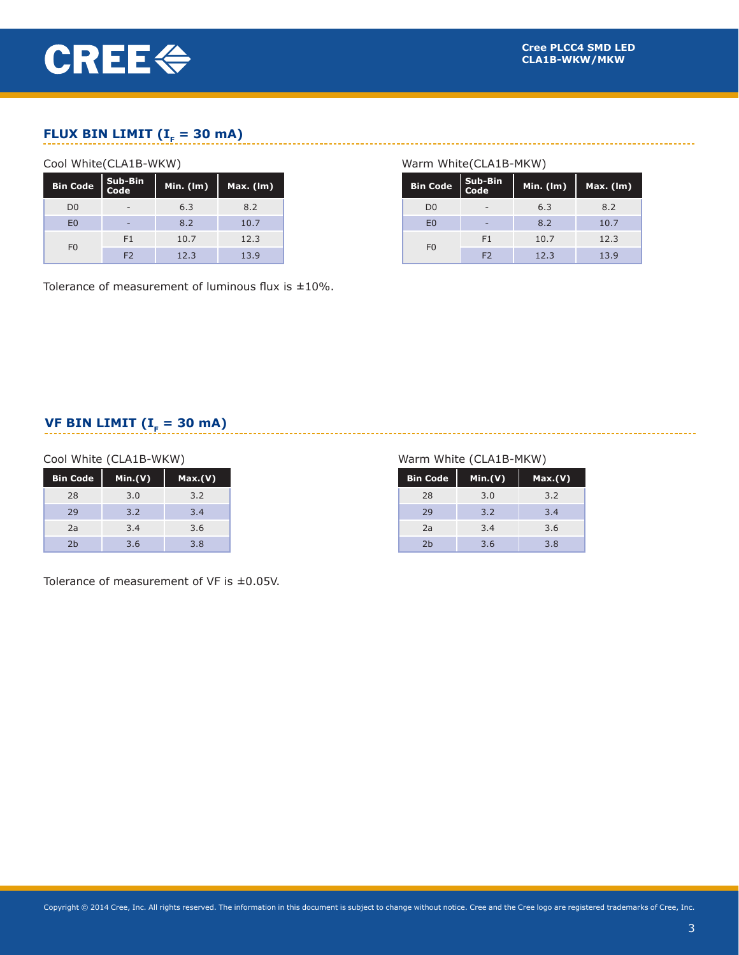

## **FLUX BIN LIMIT (** $I<sub>F</sub> = 30$  **mA)**

#### Cool White(CLA1B-WKW)

| <b>Bin Code</b> | Sub-Bin<br>Code          | Min. $(\mathsf{Im})$ | Max. (lm) |
|-----------------|--------------------------|----------------------|-----------|
| D <sub>0</sub>  | $\overline{\phantom{a}}$ | 6.3                  | 8.2       |
| E <sub>0</sub>  | -                        | 8.2                  | 10.7      |
| F <sub>0</sub>  | F1                       | 10.7                 | 12.3      |
|                 | F <sub>2</sub>           | 12.3                 | 13.9      |

Tolerance of measurement of luminous flux is  $\pm 10\%$ .

## Warm White(CLA1B-MKW)

| <b>Bin Code</b> | Sub-Bin<br>Code | Min. $(\mathsf{Im})$ | Max. (Im) |
|-----------------|-----------------|----------------------|-----------|
| D <sub>0</sub>  |                 | 6.3                  | 8.2       |
| E <sub>0</sub>  | -               | 8.2                  | 10.7      |
|                 | F1              | 10.7                 | 12.3      |
| F <sub>0</sub>  | F <sub>2</sub>  | 12.3                 | 13.9      |

## **VF BIN LIMIT (** $I<sub>F</sub> = 30$  **mA)**

#### Cool White (CLA1B-WKW)

| <b>Bin Code</b> | Min.(V) | Max.(V) |
|-----------------|---------|---------|
| 28              | 3.0     | 3.2     |
| 29              | 3.2     | 3.4     |
| 2a              | 3.4     | 3.6     |
| 2 <sub>b</sub>  | 3.6     | 3.8     |

Tolerance of measurement of VF is ±0.05V.

#### Warm White (CLA1B-MKW)

| <b>Bin Code</b> | Min.(V) | Max.(V) |
|-----------------|---------|---------|
| 28              | 3.0     | 3.2     |
| 29              | 3.2     | 3.4     |
| 2a              | 3.4     | 3.6     |
| 2 <sub>b</sub>  | 3.6     | 3.8     |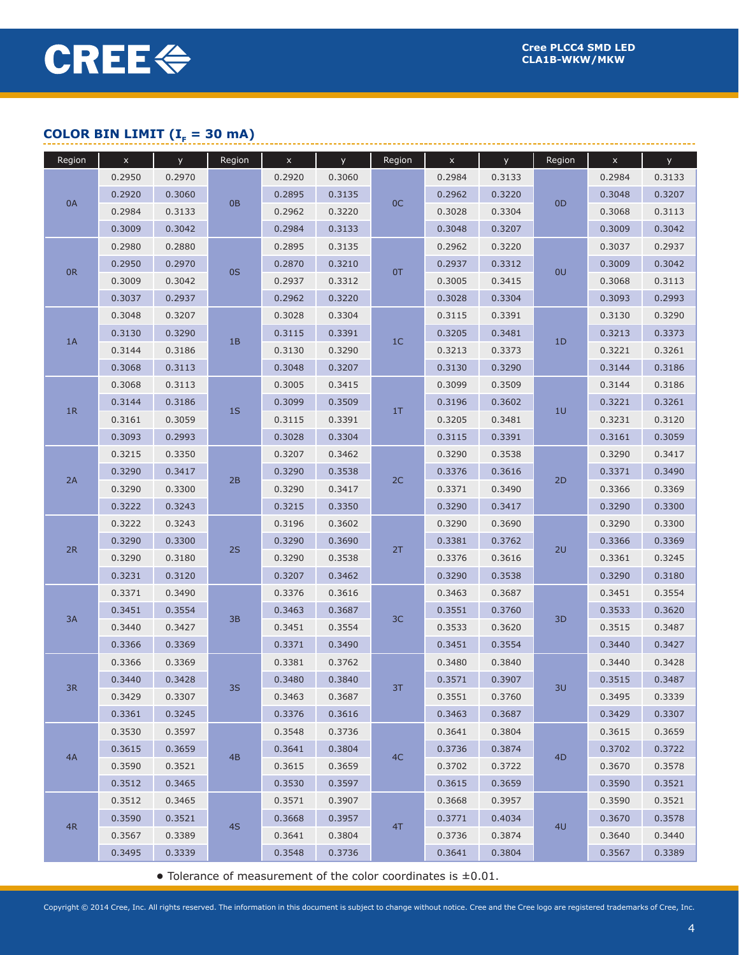## **COLOR BIN LIMIT (** $I<sub>F</sub> = 30$  **mA)**

| Region | $\boldsymbol{\mathsf{x}}$ | y      | Region         | $\mathsf{x}$ | <b>y</b> | Region         | $\mathsf X$ | <b>y</b> | Region         | $\mathsf{x}$ | y      |
|--------|---------------------------|--------|----------------|--------------|----------|----------------|-------------|----------|----------------|--------------|--------|
|        | 0.2950                    | 0.2970 |                | 0.2920       | 0.3060   |                | 0.2984      | 0.3133   |                | 0.2984       | 0.3133 |
|        | 0.2920                    | 0.3060 |                | 0.2895       | 0.3135   |                | 0.2962      | 0.3220   |                | 0.3048       | 0.3207 |
| 0A     | 0.2984                    | 0.3133 | 0 <sub>B</sub> | 0.2962       | 0.3220   | OC             | 0.3028      | 0.3304   | OD             | 0.3068       | 0.3113 |
|        | 0.3009                    | 0.3042 |                | 0.2984       | 0.3133   |                | 0.3048      | 0.3207   |                | 0.3009       | 0.3042 |
|        | 0.2980                    | 0.2880 |                | 0.2895       | 0.3135   |                | 0.2962      | 0.3220   |                | 0.3037       | 0.2937 |
|        | 0.2950                    | 0.2970 |                | 0.2870       | 0.3210   |                | 0.2937      | 0.3312   |                | 0.3009       | 0.3042 |
| 0R     | 0.3009                    | 0.3042 | 0S             | 0.2937       | 0.3312   | 0T             | 0.3005      | 0.3415   | 0U             | 0.3068       | 0.3113 |
|        | 0.3037                    | 0.2937 |                | 0.2962       | 0.3220   |                | 0.3028      | 0.3304   |                | 0.3093       | 0.2993 |
|        | 0.3048                    | 0.3207 |                | 0.3028       | 0.3304   |                | 0.3115      | 0.3391   |                | 0.3130       | 0.3290 |
|        | 0.3130                    | 0.3290 |                | 0.3115       | 0.3391   |                | 0.3205      | 0.3481   | 1D             | 0.3213       | 0.3373 |
| 1A     | 0.3144                    | 0.3186 | 1B             | 0.3130       | 0.3290   | 1 <sup>C</sup> | 0.3213      | 0.3373   |                | 0.3221       | 0.3261 |
|        | 0.3068                    | 0.3113 |                | 0.3048       | 0.3207   |                | 0.3130      | 0.3290   |                | 0.3144       | 0.3186 |
|        | 0.3068                    | 0.3113 |                | 0.3005       | 0.3415   |                | 0.3099      | 0.3509   |                | 0.3144       | 0.3186 |
|        | 0.3144                    | 0.3186 |                | 0.3099       | 0.3509   |                | 0.3196      | 0.3602   |                | 0.3221       | 0.3261 |
| 1R     | 0.3161                    | 0.3059 | 1S             | 0.3115       | 0.3391   | 1T             | 0.3205      | 0.3481   | 10             | 0.3231       | 0.3120 |
|        | 0.3093                    | 0.2993 |                | 0.3028       | 0.3304   |                | 0.3115      | 0.3391   |                | 0.3161       | 0.3059 |
|        | 0.3215                    | 0.3350 |                | 0.3207       | 0.3462   |                | 0.3290      | 0.3538   |                | 0.3290       | 0.3417 |
| 2A     | 0.3290                    | 0.3417 |                | 0.3290       | 0.3538   | 2C             | 0.3376      | 0.3616   | 2D             | 0.3371       | 0.3490 |
|        | 0.3290                    | 0.3300 | 2B             | 0.3290       | 0.3417   |                | 0.3371      | 0.3490   |                | 0.3366       | 0.3369 |
|        | 0.3222                    | 0.3243 |                | 0.3215       | 0.3350   |                | 0.3290      | 0.3417   |                | 0.3290       | 0.3300 |
| 2R     | 0.3222                    | 0.3243 |                | 0.3196       | 0.3602   |                | 0.3290      | 0.3690   |                | 0.3290       | 0.3300 |
|        | 0.3290                    | 0.3300 | 2S             | 0.3290       | 0.3690   | 2T             | 0.3381      | 0.3762   | 2U             | 0.3366       | 0.3369 |
|        | 0.3290                    | 0.3180 |                | 0.3290       | 0.3538   |                | 0.3376      | 0.3616   |                | 0.3361       | 0.3245 |
|        | 0.3231                    | 0.3120 |                | 0.3207       | 0.3462   |                | 0.3290      | 0.3538   |                | 0.3290       | 0.3180 |
|        | 0.3371                    | 0.3490 |                | 0.3376       | 0.3616   |                | 0.3463      | 0.3687   |                | 0.3451       | 0.3554 |
| 3A     | 0.3451                    | 0.3554 | 3B             | 0.3463       | 0.3687   | 3C             | 0.3551      | 0.3760   | 3D             | 0.3533       | 0.3620 |
|        | 0.3440                    | 0.3427 |                | 0.3451       | 0.3554   |                | 0.3533      | 0.3620   |                | 0.3515       | 0.3487 |
|        | 0.3366                    | 0.3369 |                | 0.3371       | 0.3490   |                | 0.3451      | 0.3554   |                | 0.3440       | 0.3427 |
|        | 0.3366                    | 0.3369 |                | 0.3381       | 0.3762   |                | 0.3480      | 0.3840   |                | 0.3440       | 0.3428 |
| 3R     | 0.3440                    | 0.3428 | 3S             | 0.3480       | 0.3840   | 3T             | 0.3571      | 0.3907   | 3U             | 0.3515       | 0.3487 |
|        | 0.3429                    | 0.3307 |                | 0.3463       | 0.3687   |                | 0.3551      | 0.3760   |                | 0.3495       | 0.3339 |
|        | 0.3361                    | 0.3245 |                | 0.3376       | 0.3616   |                | 0.3463      | 0.3687   |                | 0.3429       | 0.3307 |
|        | 0.3530                    | 0.3597 |                | 0.3548       | 0.3736   |                | 0.3641      | 0.3804   |                | 0.3615       | 0.3659 |
| 4A     | 0.3615                    | 0.3659 | 4B             | 0.3641       | 0.3804   | 4C             | 0.3736      | 0.3874   | 4 <sub>D</sub> | 0.3702       | 0.3722 |
|        | 0.3590                    | 0.3521 |                | 0.3615       | 0.3659   |                | 0.3702      | 0.3722   |                | 0.3670       | 0.3578 |
|        | 0.3512                    | 0.3465 |                | 0.3530       | 0.3597   |                | 0.3615      | 0.3659   |                | 0.3590       | 0.3521 |
|        | 0.3512                    | 0.3465 |                | 0.3571       | 0.3907   |                | 0.3668      | 0.3957   |                | 0.3590       | 0.3521 |
| 4R     | 0.3590                    | 0.3521 | 4S             | 0.3668       | 0.3957   | 4T             | 0.3771      | 0.4034   | 4 <sub>U</sub> | 0.3670       | 0.3578 |
|        | 0.3567                    | 0.3389 |                | 0.3641       | 0.3804   |                | 0.3736      | 0.3874   |                | 0.3640       | 0.3440 |
|        | 0.3495                    | 0.3339 |                | 0.3548       | 0.3736   |                | 0.3641      | 0.3804   |                | 0.3567       | 0.3389 |

**•** Tolerance of measurement of the color coordinates is ±0.01.

Copyright © 2014 Cree, Inc. All rights reserved. The information in this document is subject to change without notice. Cree and the Cree logo are registered trademarks of Cree, Inc.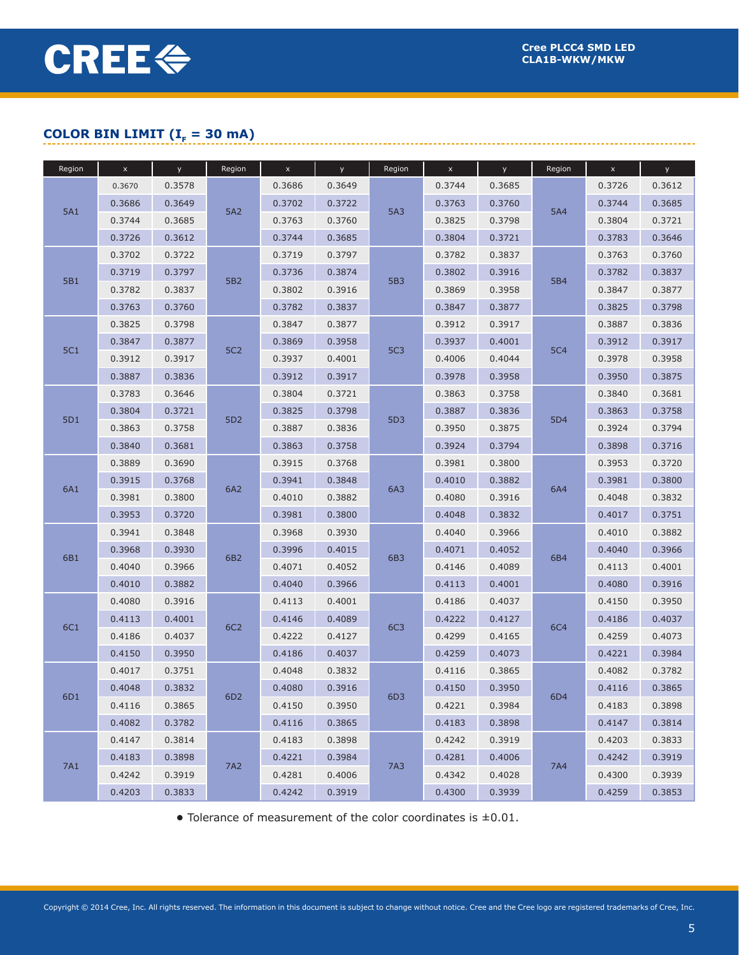## **COLOR BIN LIMIT (** $I<sub>F</sub> = 30$  **mA)**

| Region     | $\mathsf{x}$ | y      | Region          | $\boldsymbol{\mathsf{x}}$ | <b>y</b> | Region     | $\mathsf{x}$ | y.     | Region     | $\pmb{\times}$ | y      |
|------------|--------------|--------|-----------------|---------------------------|----------|------------|--------------|--------|------------|----------------|--------|
|            | 0.3670       | 0.3578 |                 | 0.3686                    | 0.3649   |            | 0.3744       | 0.3685 |            | 0.3726         | 0.3612 |
|            | 0.3686       | 0.3649 |                 | 0.3702                    | 0.3722   |            | 0.3763       | 0.3760 |            | 0.3744         | 0.3685 |
| <b>5A1</b> | 0.3744       | 0.3685 | 5A2             | 0.3763                    | 0.3760   | 5A3        | 0.3825       | 0.3798 | <b>5A4</b> | 0.3804         | 0.3721 |
|            | 0.3726       | 0.3612 |                 | 0.3744                    | 0.3685   |            | 0.3804       | 0.3721 |            | 0.3783         | 0.3646 |
|            | 0.3702       | 0.3722 |                 | 0.3719                    | 0.3797   |            | 0.3782       | 0.3837 |            | 0.3763         | 0.3760 |
|            | 0.3719       | 0.3797 |                 | 0.3736                    | 0.3874   |            | 0.3802       | 0.3916 |            | 0.3782         | 0.3837 |
| 5B1        | 0.3782       | 0.3837 | 5B <sub>2</sub> | 0.3802                    | 0.3916   | 5B3        | 0.3869       | 0.3958 | 5B4        | 0.3847         | 0.3877 |
|            | 0.3763       | 0.3760 |                 | 0.3782                    | 0.3837   |            | 0.3847       | 0.3877 |            | 0.3825         | 0.3798 |
|            | 0.3825       | 0.3798 |                 | 0.3847                    | 0.3877   |            | 0.3912       | 0.3917 |            | 0.3887         | 0.3836 |
| <b>5C1</b> | 0.3847       | 0.3877 | <b>5C2</b>      | 0.3869                    | 0.3958   | <b>5C3</b> | 0.3937       | 0.4001 | <b>5C4</b> | 0.3912         | 0.3917 |
|            | 0.3912       | 0.3917 |                 | 0.3937                    | 0.4001   |            | 0.4006       | 0.4044 |            | 0.3978         | 0.3958 |
|            | 0.3887       | 0.3836 |                 | 0.3912                    | 0.3917   |            | 0.3978       | 0.3958 |            | 0.3950         | 0.3875 |
|            | 0.3783       | 0.3646 |                 | 0.3804                    | 0.3721   |            | 0.3863       | 0.3758 |            | 0.3840         | 0.3681 |
| 5D1        | 0.3804       | 0.3721 | 5D <sub>2</sub> | 0.3825                    | 0.3798   | 5D3        | 0.3887       | 0.3836 | 5D4        | 0.3863         | 0.3758 |
|            | 0.3863       | 0.3758 |                 | 0.3887                    | 0.3836   |            | 0.3950       | 0.3875 |            | 0.3924         | 0.3794 |
|            | 0.3840       | 0.3681 |                 | 0.3863                    | 0.3758   |            | 0.3924       | 0.3794 |            | 0.3898         | 0.3716 |
|            | 0.3889       | 0.3690 |                 | 0.3915                    | 0.3768   | 6A3        | 0.3981       | 0.3800 |            | 0.3953         | 0.3720 |
| 6A1        | 0.3915       | 0.3768 | 6A2             | 0.3941                    | 0.3848   |            | 0.4010       | 0.3882 | 6A4        | 0.3981         | 0.3800 |
|            | 0.3981       | 0.3800 |                 | 0.4010                    | 0.3882   |            | 0.4080       | 0.3916 |            | 0.4048         | 0.3832 |
|            | 0.3953       | 0.3720 |                 | 0.3981                    | 0.3800   |            | 0.4048       | 0.3832 |            | 0.4017         | 0.3751 |
|            | 0.3941       | 0.3848 |                 | 0.3968                    | 0.3930   |            | 0.4040       | 0.3966 |            | 0.4010         | 0.3882 |
| 6B1        | 0.3968       | 0.3930 | 6B2             | 0.3996                    | 0.4015   | 6B3        | 0.4071       | 0.4052 | 6B4        | 0.4040         | 0.3966 |
|            | 0.4040       | 0.3966 |                 | 0.4071                    | 0.4052   |            | 0.4146       | 0.4089 |            | 0.4113         | 0.4001 |
|            | 0.4010       | 0.3882 |                 | 0.4040                    | 0.3966   |            | 0.4113       | 0.4001 |            | 0.4080         | 0.3916 |
|            | 0.4080       | 0.3916 |                 | 0.4113                    | 0.4001   |            | 0.4186       | 0.4037 |            | 0.4150         | 0.3950 |
| 6C1        | 0.4113       | 0.4001 | 6C <sub>2</sub> | 0.4146                    | 0.4089   | 6C3        | 0.4222       | 0.4127 | <b>6C4</b> | 0.4186         | 0.4037 |
|            | 0.4186       | 0.4037 |                 | 0.4222                    | 0.4127   |            | 0.4299       | 0.4165 |            | 0.4259         | 0.4073 |
|            | 0.4150       | 0.3950 |                 | 0.4186                    | 0.4037   |            | 0.4259       | 0.4073 |            | 0.4221         | 0.3984 |
|            | 0.4017       | 0.3751 |                 | 0.4048                    | 0.3832   |            | 0.4116       | 0.3865 |            | 0.4082         | 0.3782 |
| 6D1        | 0.4048       | 0.3832 | 6D <sub>2</sub> | 0.4080                    | 0.3916   | 6D3        | 0.4150       | 0.3950 | 6D4        | 0.4116         | 0.3865 |
|            | 0.4116       | 0.3865 |                 | 0.4150                    | 0.3950   |            | 0.4221       | 0.3984 |            | 0.4183         | 0.3898 |
|            | 0.4082       | 0.3782 |                 | 0.4116                    | 0.3865   |            | 0.4183       | 0.3898 |            | 0.4147         | 0.3814 |
|            | 0.4147       | 0.3814 |                 | 0.4183                    | 0.3898   |            | 0.4242       | 0.3919 |            | 0.4203         | 0.3833 |
| 7A1        | 0.4183       | 0.3898 | 7A2             | 0.4221                    | 0.3984   | 7A3        | 0.4281       | 0.4006 | 7A4        | 0.4242         | 0.3919 |
|            | 0.4242       | 0.3919 |                 | 0.4281                    | 0.4006   |            | 0.4342       | 0.4028 |            | 0.4300         | 0.3939 |
|            | 0.4203       | 0.3833 |                 | 0.4242                    | 0.3919   |            | 0.4300       | 0.3939 |            | 0.4259         | 0.3853 |

**•** Tolerance of measurement of the color coordinates is ±0.01.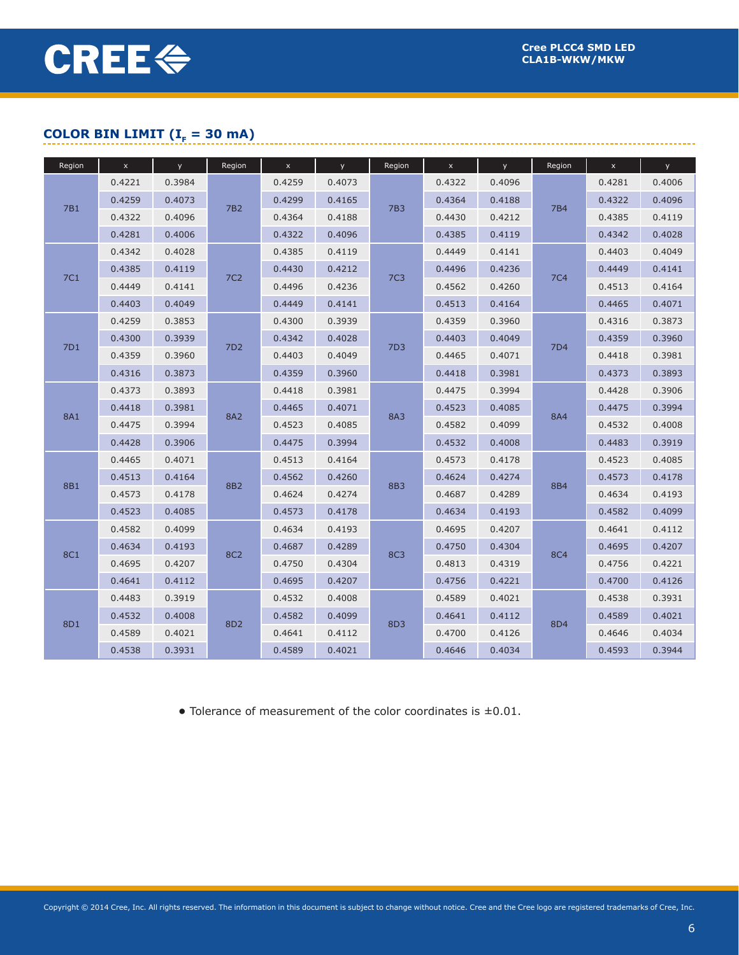## **COLOR BIN LIMIT (** $I<sub>F</sub> = 30$  **mA)**

| Region     | $\boldsymbol{\mathsf{x}}$ | <b>y</b> | Region          | $\boldsymbol{\mathsf{x}}$ | <b>y</b> | Region          | $\mathsf X$ | <b>y</b> | Region          | $\bar{\mathbf{x}}$ | y      |
|------------|---------------------------|----------|-----------------|---------------------------|----------|-----------------|-------------|----------|-----------------|--------------------|--------|
|            | 0.4221                    | 0.3984   |                 | 0.4259                    | 0.4073   |                 | 0.4322      | 0.4096   |                 | 0.4281             | 0.4006 |
| 7B1        | 0.4259                    | 0.4073   |                 | 0.4299                    | 0.4165   | 7B3             | 0.4364      | 0.4188   | 7 <sub>B4</sub> | 0.4322             | 0.4096 |
|            | 0.4322                    | 0.4096   | 7B <sub>2</sub> | 0.4364                    | 0.4188   |                 | 0.4430      | 0.4212   |                 | 0.4385             | 0.4119 |
|            | 0.4281                    | 0.4006   |                 | 0.4322                    | 0.4096   |                 | 0.4385      | 0.4119   |                 | 0.4342             | 0.4028 |
|            | 0.4342                    | 0.4028   |                 | 0.4385                    | 0.4119   |                 | 0.4449      | 0.4141   |                 | 0.4403             | 0.4049 |
| 7C1        | 0.4385                    | 0.4119   | <b>7C2</b>      | 0.4430                    | 0.4212   | <b>7C3</b>      | 0.4496      | 0.4236   | <b>7C4</b>      | 0.4449             | 0.4141 |
|            | 0.4449                    | 0.4141   |                 | 0.4496                    | 0.4236   |                 | 0.4562      | 0.4260   |                 | 0.4513             | 0.4164 |
|            | 0.4403                    | 0.4049   |                 | 0.4449                    | 0.4141   |                 | 0.4513      | 0.4164   |                 | 0.4465             | 0.4071 |
|            | 0.4259                    | 0.3853   |                 | 0.4300                    | 0.3939   |                 | 0.4359      | 0.3960   |                 | 0.4316             | 0.3873 |
| 7D1        | 0.4300                    | 0.3939   | 7D <sub>2</sub> | 0.4342                    | 0.4028   | 7D <sub>3</sub> | 0.4403      | 0.4049   | <b>7D4</b>      | 0.4359             | 0.3960 |
|            | 0.4359                    | 0.3960   |                 | 0.4403                    | 0.4049   |                 | 0.4465      | 0.4071   |                 | 0.4418             | 0.3981 |
|            | 0.4316                    | 0.3873   |                 | 0.4359                    | 0.3960   |                 | 0.4418      | 0.3981   |                 | 0.4373             | 0.3893 |
|            | 0.4373                    | 0.3893   |                 | 0.4418                    | 0.3981   |                 | 0.4475      | 0.3994   |                 | 0.4428             | 0.3906 |
| <b>8A1</b> | 0.4418                    | 0.3981   | <b>8A2</b>      | 0.4465                    | 0.4071   | <b>8A3</b>      | 0.4523      | 0.4085   | <b>8A4</b>      | 0.4475             | 0.3994 |
|            | 0.4475                    | 0.3994   |                 | 0.4523                    | 0.4085   |                 | 0.4582      | 0.4099   |                 | 0.4532             | 0.4008 |
|            | 0.4428                    | 0.3906   |                 | 0.4475                    | 0.3994   |                 | 0.4532      | 0.4008   |                 | 0.4483             | 0.3919 |
|            | 0.4465                    | 0.4071   |                 | 0.4513                    | 0.4164   |                 | 0.4573      | 0.4178   |                 | 0.4523             | 0.4085 |
| <b>8B1</b> | 0.4513                    | 0.4164   | <b>8B2</b>      | 0.4562                    | 0.4260   | <b>8B3</b>      | 0.4624      | 0.4274   | <b>8B4</b>      | 0.4573             | 0.4178 |
|            | 0.4573                    | 0.4178   |                 | 0.4624                    | 0.4274   |                 | 0.4687      | 0.4289   |                 | 0.4634             | 0.4193 |
|            | 0.4523                    | 0.4085   |                 | 0.4573                    | 0.4178   |                 | 0.4634      | 0.4193   |                 | 0.4582             | 0.4099 |
|            | 0.4582                    | 0.4099   |                 | 0.4634                    | 0.4193   |                 | 0.4695      | 0.4207   |                 | 0.4641             | 0.4112 |
| <b>8C1</b> | 0.4634                    | 0.4193   | <b>8C2</b>      | 0.4687                    | 0.4289   | <b>8C3</b>      | 0.4750      | 0.4304   | <b>8C4</b>      | 0.4695             | 0.4207 |
|            | 0.4695                    | 0.4207   |                 | 0.4750                    | 0.4304   |                 | 0.4813      | 0.4319   |                 | 0.4756             | 0.4221 |
|            | 0.4641                    | 0.4112   |                 | 0.4695                    | 0.4207   |                 | 0.4756      | 0.4221   |                 | 0.4700             | 0.4126 |
|            | 0.4483                    | 0.3919   |                 | 0.4532                    | 0.4008   |                 | 0.4589      | 0.4021   |                 | 0.4538             | 0.3931 |
| 8D1        | 0.4532                    | 0.4008   | 8D <sub>2</sub> | 0.4582                    | 0.4099   | 8D3             | 0.4641      | 0.4112   | 8D4             | 0.4589             | 0.4021 |
|            | 0.4589                    | 0.4021   |                 | 0.4641                    | 0.4112   |                 | 0.4700      | 0.4126   |                 | 0.4646             | 0.4034 |
|            | 0.4538                    | 0.3931   |                 | 0.4589                    | 0.4021   |                 | 0.4646      | 0.4034   |                 | 0.4593             | 0.3944 |

**•** Tolerance of measurement of the color coordinates is ±0.01.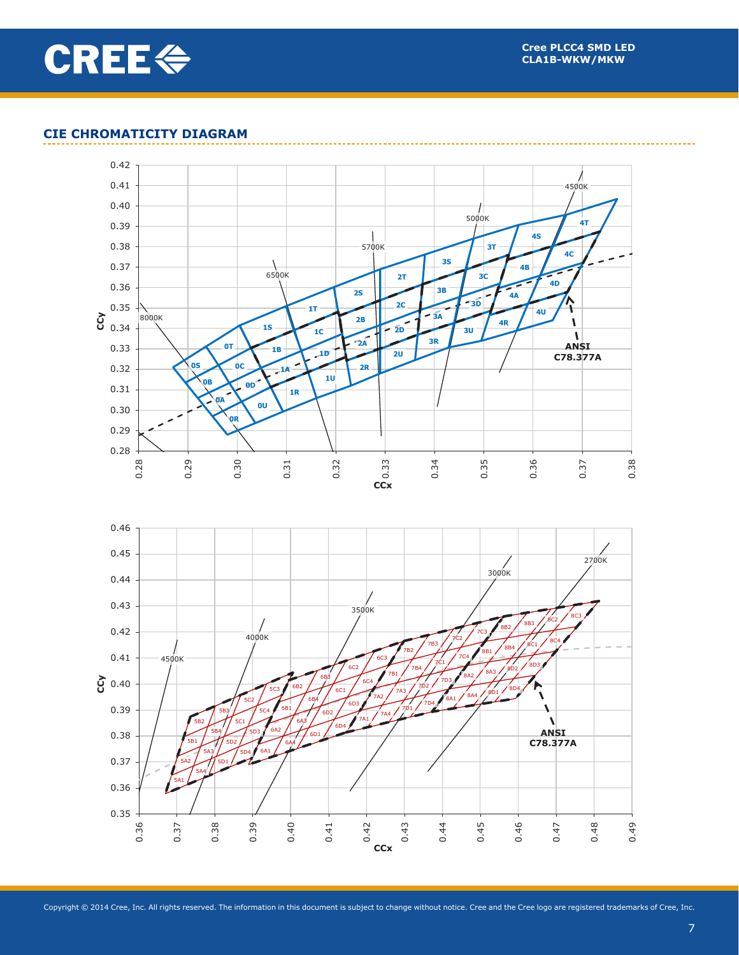

## **CIE CHROMATICITY DIAGRAM**

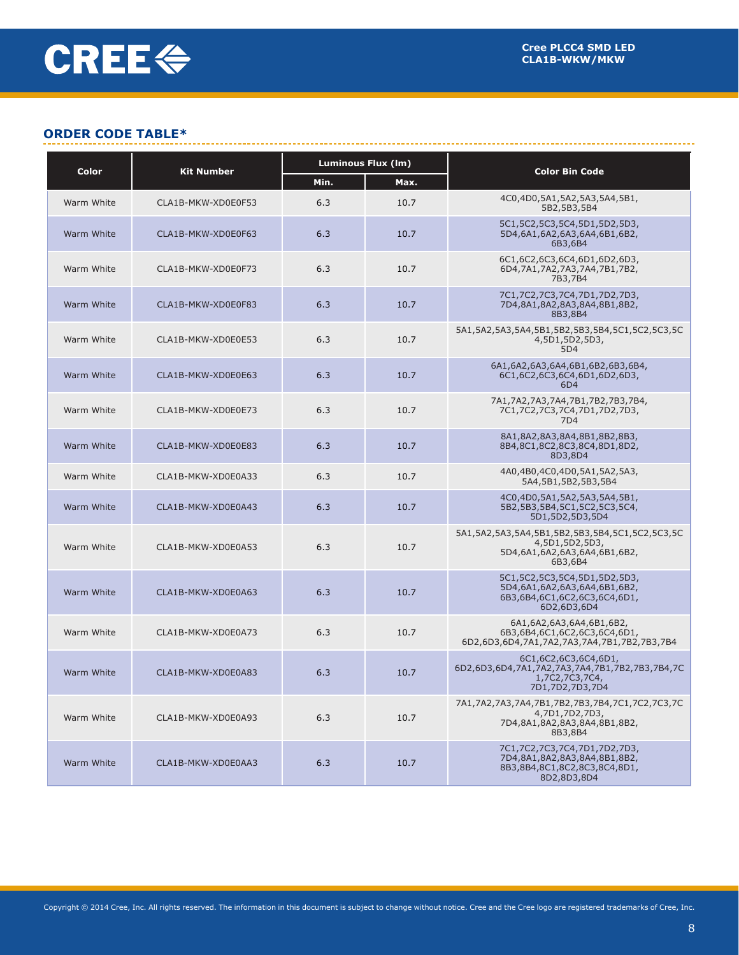## **ORDER CODE TABLE\***

| Color      | <b>Kit Number</b>  |      | <b>Luminous Flux (Im)</b> | <b>Color Bin Code</b>                                                                                                  |
|------------|--------------------|------|---------------------------|------------------------------------------------------------------------------------------------------------------------|
|            |                    | Min. | Max.                      |                                                                                                                        |
| Warm White | CLA1B-MKW-XD0E0F53 | 6.3  | 10.7                      | 4C0,4D0,5A1,5A2,5A3,5A4,5B1,<br>5B2,5B3,5B4                                                                            |
| Warm White | CLA1B-MKW-XD0E0F63 | 6.3  | 10.7                      | 5C1, 5C2, 5C3, 5C4, 5D1, 5D2, 5D3,<br>5D4,6A1,6A2,6A3,6A4,6B1,6B2,<br>6B3,6B4                                          |
| Warm White | CLA1B-MKW-XD0E0F73 | 6.3  | 10.7                      | 6C1,6C2,6C3,6C4,6D1,6D2,6D3,<br>6D4,7A1,7A2,7A3,7A4,7B1,7B2,<br>7B3,7B4                                                |
| Warm White | CLA1B-MKW-XD0E0F83 | 6.3  | 10.7                      | 7C1,7C2,7C3,7C4,7D1,7D2,7D3,<br>7D4,8A1,8A2,8A3,8A4,8B1,8B2,<br>8B3,8B4                                                |
| Warm White | CLA1B-MKW-XD0E0E53 | 6.3  | 10.7                      | 5A1,5A2,5A3,5A4,5B1,5B2,5B3,5B4,5C1,5C2,5C3,5C<br>4,5D1,5D2,5D3,<br>5 <sub>D</sub> 4                                   |
| Warm White | CLA1B-MKW-XD0E0E63 | 6.3  | 10.7                      | 6A1,6A2,6A3,6A4,6B1,6B2,6B3,6B4,<br>6C1,6C2,6C3,6C4,6D1,6D2,6D3,<br>6 <sub>D</sub> 4                                   |
| Warm White | CLA1B-MKW-XD0E0E73 | 6.3  | 10.7                      | 7A1,7A2,7A3,7A4,7B1,7B2,7B3,7B4,<br>7C1,7C2,7C3,7C4,7D1,7D2,7D3,<br><b>7D4</b>                                         |
| Warm White | CLA1B-MKW-XD0E0E83 | 6.3  | 10.7                      | 8A1,8A2,8A3,8A4,8B1,8B2,8B3,<br>8B4,8C1,8C2,8C3,8C4,8D1,8D2,<br>8D3,8D4                                                |
| Warm White | CLA1B-MKW-XD0E0A33 | 6.3  | 10.7                      | 4A0,4B0,4C0,4D0,5A1,5A2,5A3,<br>5A4,5B1,5B2,5B3,5B4                                                                    |
| Warm White | CLA1B-MKW-XD0E0A43 | 6.3  | 10.7                      | 4C0,4D0,5A1,5A2,5A3,5A4,5B1,<br>5B2,5B3,5B4,5C1,5C2,5C3,5C4,<br>5D1,5D2,5D3,5D4                                        |
| Warm White | CLA1B-MKW-XD0E0A53 | 6.3  | 10.7                      | 5A1, 5A2, 5A3, 5A4, 5B1, 5B2, 5B3, 5B4, 5C1, 5C2, 5C3, 5C<br>4,5D1,5D2,5D3,<br>5D4,6A1,6A2,6A3,6A4,6B1,6B2,<br>6B3,6B4 |
| Warm White | CLA1B-MKW-XD0E0A63 | 6.3  | 10.7                      | 5C1,5C2,5C3,5C4,5D1,5D2,5D3,<br>5D4,6A1,6A2,6A3,6A4,6B1,6B2,<br>6B3,6B4,6C1,6C2,6C3,6C4,6D1,<br>6D2,6D3,6D4            |
| Warm White | CLA1B-MKW-XD0E0A73 | 6.3  | 10.7                      | 6A1,6A2,6A3,6A4,6B1,6B2,<br>6B3,6B4,6C1,6C2,6C3,6C4,6D1,<br>6D2,6D3,6D4,7A1,7A2,7A3,7A4,7B1,7B2,7B3,7B4                |
| Warm White | CLA1B-MKW-XD0E0A83 | 6.3  | 10.7                      | 6C1,6C2,6C3,6C4,6D1,<br>6D2,6D3,6D4,7A1,7A2,7A3,7A4,7B1,7B2,7B3,7B4,7C<br>1,7C2,7C3,7C4,<br>7D1,7D2,7D3,7D4            |
| Warm White | CLA1B-MKW-XD0E0A93 | 6.3  | 10.7                      | 7A1,7A2,7A3,7A4,7B1,7B2,7B3,7B4,7C1,7C2,7C3,7C<br>4,7D1,7D2,7D3,<br>7D4,8A1,8A2,8A3,8A4,8B1,8B2,<br>8B3,8B4            |
| Warm White | CLA1B-MKW-XD0E0AA3 | 6.3  | 10.7                      | 7C1,7C2,7C3,7C4,7D1,7D2,7D3,<br>7D4,8A1,8A2,8A3,8A4,8B1,8B2,<br>8B3,8B4,8C1,8C2,8C3,8C4,8D1,<br>8D2,8D3,8D4            |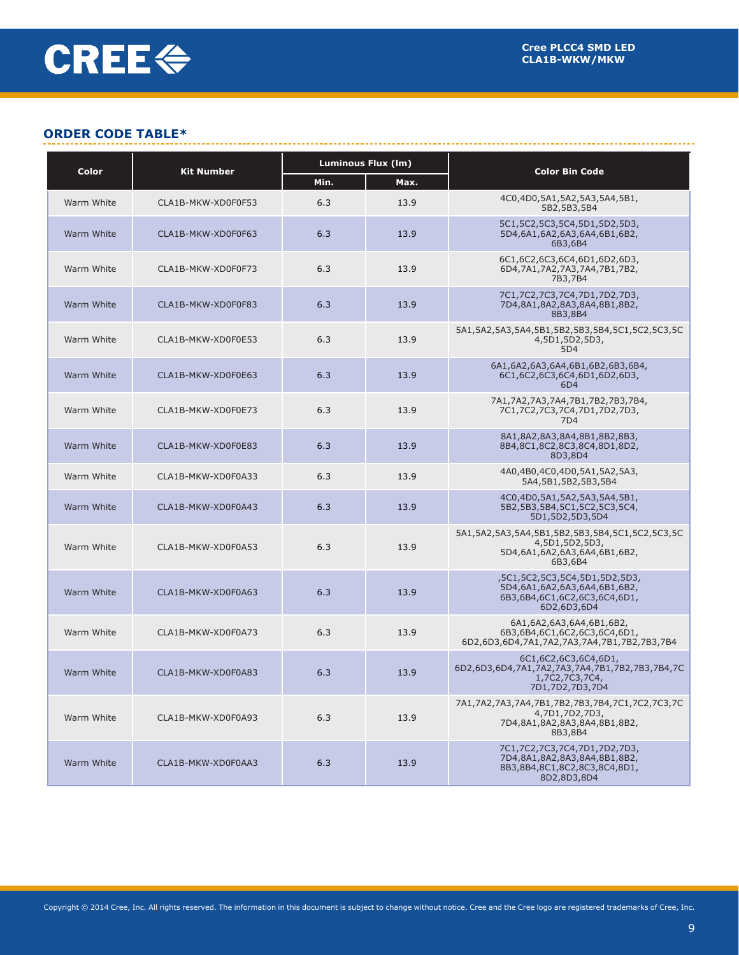## **ORDER CODE TABLE\***

| Color      | <b>Kit Number</b>  | <b>Luminous Flux (Im)</b> |      | <b>Color Bin Code</b>                                                                                                  |  |
|------------|--------------------|---------------------------|------|------------------------------------------------------------------------------------------------------------------------|--|
|            |                    | Min.                      | Max. |                                                                                                                        |  |
| Warm White | CLA1B-MKW-XD0F0F53 | 6.3                       | 13.9 | 4C0,4D0,5A1,5A2,5A3,5A4,5B1,<br>5B2,5B3,5B4                                                                            |  |
| Warm White | CLA1B-MKW-XD0F0F63 | 6.3                       | 13.9 | 5C1, 5C2, 5C3, 5C4, 5D1, 5D2, 5D3,<br>5D4,6A1,6A2,6A3,6A4,6B1,6B2,<br>6B3,6B4                                          |  |
| Warm White | CLA1B-MKW-XD0F0F73 | 6.3                       | 13.9 | 6C1,6C2,6C3,6C4,6D1,6D2,6D3,<br>6D4,7A1,7A2,7A3,7A4,7B1,7B2,<br>7B3,7B4                                                |  |
| Warm White | CLA1B-MKW-XD0F0F83 | 6.3                       | 13.9 | 7C1,7C2,7C3,7C4,7D1,7D2,7D3,<br>7D4,8A1,8A2,8A3,8A4,8B1,8B2,<br>8B3,8B4                                                |  |
| Warm White | CLA1B-MKW-XD0F0E53 | 6.3                       | 13.9 | 5A1,5A2,5A3,5A4,5B1,5B2,5B3,5B4,5C1,5C2,5C3,5C<br>4,5D1,5D2,5D3,<br>5D4                                                |  |
| Warm White | CLA1B-MKW-XD0F0E63 | 6.3                       | 13.9 | 6A1,6A2,6A3,6A4,6B1,6B2,6B3,6B4,<br>6C1,6C2,6C3,6C4,6D1,6D2,6D3,<br>6D4                                                |  |
| Warm White | CLA1B-MKW-XD0F0E73 | 6.3                       | 13.9 | 7A1,7A2,7A3,7A4,7B1,7B2,7B3,7B4,<br>7C1,7C2,7C3,7C4,7D1,7D2,7D3,<br>7D4                                                |  |
| Warm White | CLA1B-MKW-XD0F0E83 | 6.3                       | 13.9 | 8A1,8A2,8A3,8A4,8B1,8B2,8B3,<br>8B4,8C1,8C2,8C3,8C4,8D1,8D2,<br>8D3,8D4                                                |  |
| Warm White | CLA1B-MKW-XD0F0A33 | 6.3                       | 13.9 | 4A0,4B0,4C0,4D0,5A1,5A2,5A3,<br>5A4,5B1,5B2,5B3,5B4                                                                    |  |
| Warm White | CLA1B-MKW-XD0F0A43 | 6.3                       | 13.9 | 4C0,4D0,5A1,5A2,5A3,5A4,5B1,<br>5B2,5B3,5B4,5C1,5C2,5C3,5C4,<br>5D1,5D2,5D3,5D4                                        |  |
| Warm White | CLA1B-MKW-XD0F0A53 | 6.3                       | 13.9 | 5A1, 5A2, 5A3, 5A4, 5B1, 5B2, 5B3, 5B4, 5C1, 5C2, 5C3, 5C<br>4,5D1,5D2,5D3,<br>5D4,6A1,6A2,6A3,6A4,6B1,6B2,<br>6B3,6B4 |  |
| Warm White | CLA1B-MKW-XD0F0A63 | 6.3                       | 13.9 | ,5C1,5C2,5C3,5C4,5D1,5D2,5D3,<br>5D4,6A1,6A2,6A3,6A4,6B1,6B2,<br>6B3,6B4,6C1,6C2,6C3,6C4,6D1,<br>6D2,6D3,6D4           |  |
| Warm White | CLA1B-MKW-XD0F0A73 | 6.3                       | 13.9 | 6A1,6A2,6A3,6A4,6B1,6B2,<br>6B3,6B4,6C1,6C2,6C3,6C4,6D1,<br>6D2,6D3,6D4,7A1,7A2,7A3,7A4,7B1,7B2,7B3,7B4                |  |
| Warm White | CLA1B-MKW-XD0F0A83 | 6.3                       | 13.9 | 6C1,6C2,6C3,6C4,6D1,<br>6D2,6D3,6D4,7A1,7A2,7A3,7A4,7B1,7B2,7B3,7B4,7C<br>1,7C2,7C3,7C4,<br>7D1,7D2,7D3,7D4            |  |
| Warm White | CLA1B-MKW-XD0F0A93 | 6.3                       | 13.9 | 7A1,7A2,7A3,7A4,7B1,7B2,7B3,7B4,7C1,7C2,7C3,7C<br>4,7D1,7D2,7D3,<br>7D4,8A1,8A2,8A3,8A4,8B1,8B2,<br>8B3,8B4            |  |
| Warm White | CLA1B-MKW-XD0F0AA3 | 6.3                       | 13.9 | 7C1,7C2,7C3,7C4,7D1,7D2,7D3,<br>7D4,8A1,8A2,8A3,8A4,8B1,8B2,<br>8B3,8B4,8C1,8C2,8C3,8C4,8D1,<br>8D2,8D3,8D4            |  |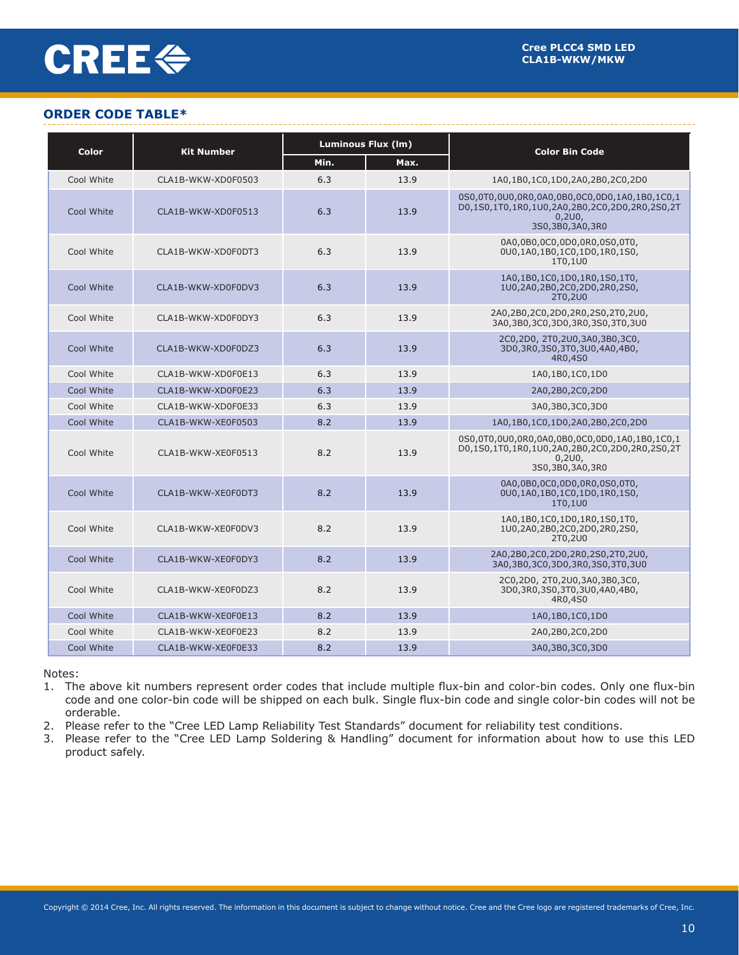# **CREE<sup>«</sup>**

## **ORDER CODE TABLE\***

| <b>Color</b><br><b>Kit Number</b> |                    | <b>Luminous Flux (Im)</b> |      | <b>Color Bin Code</b>                                                                                                          |  |
|-----------------------------------|--------------------|---------------------------|------|--------------------------------------------------------------------------------------------------------------------------------|--|
|                                   |                    | Min.                      | Max. |                                                                                                                                |  |
| Cool White                        | CLA1B-WKW-XD0F0503 | 6.3                       | 13.9 | 1A0,1B0,1C0,1D0,2A0,2B0,2C0,2D0                                                                                                |  |
| Cool White                        | CLA1B-WKW-XD0F0513 | 6.3                       | 13.9 | 0S0,0T0,0U0,0R0,0A0,0B0,0C0,0D0,1A0,1B0,1C0,1<br>D0,1S0,1T0,1R0,1U0,2A0,2B0,2C0,2D0,2R0,2S0,2T<br>0,2U0,<br>3S0,3B0,3A0,3R0    |  |
| Cool White                        | CLA1B-WKW-XD0F0DT3 | 6.3                       | 13.9 | 0A0,0B0,0C0,0D0,0R0,0S0,0T0,<br>0U0,1A0,1B0,1C0,1D0,1R0,1S0,<br>1T0,1U0                                                        |  |
| Cool White                        | CLA1B-WKW-XD0F0DV3 | 6.3                       | 13.9 | 1A0,1B0,1C0,1D0,1R0,1S0,1T0,<br>1U0,2A0,2B0,2C0,2D0,2R0,2S0,<br>2T0,2U0                                                        |  |
| Cool White                        | CLA1B-WKW-XD0F0DY3 | 6.3                       | 13.9 | 2A0,2B0,2C0,2D0,2R0,2S0,2T0,2U0,<br>3A0,3B0,3C0,3D0,3R0,3S0,3T0,3U0                                                            |  |
| Cool White                        | CLA1B-WKW-XD0F0DZ3 | 6.3                       | 13.9 | 2C0,2D0, 2T0,2U0,3A0,3B0,3C0,<br>3D0,3R0,3S0,3T0,3U0,4A0,4B0,<br>4R0,4S0                                                       |  |
| Cool White                        | CLA1B-WKW-XD0F0E13 | 6.3                       | 13.9 | 1A0,1B0,1C0,1D0                                                                                                                |  |
| Cool White                        | CLA1B-WKW-XD0F0E23 | 6.3                       | 13.9 | 2A0,2B0,2C0,2D0                                                                                                                |  |
| Cool White                        | CLA1B-WKW-XD0F0E33 | 6.3                       | 13.9 | 3A0,3B0,3C0,3D0                                                                                                                |  |
| Cool White                        | CLA1B-WKW-XE0F0503 | 8.2                       | 13.9 | 1A0,1B0,1C0,1D0,2A0,2B0,2C0,2D0                                                                                                |  |
| Cool White                        | CLA1B-WKW-XE0F0513 | 8.2                       | 13.9 | 0S0,0T0,0U0,0R0,0A0,0B0,0C0,0D0,1A0,1B0,1C0,1<br>D0,1S0,1T0,1R0,1U0,2A0,2B0,2C0,2D0,2R0,2S0,2T<br>0,2U0,<br>3S0, 3B0, 3A0, 3R0 |  |
| Cool White                        | CLA1B-WKW-XE0F0DT3 | 8.2                       | 13.9 | 0A0,0B0,0C0,0D0,0R0,0S0,0T0,<br>0U0,1A0,1B0,1C0,1D0,1R0,1S0,<br>1T0,1U0                                                        |  |
| Cool White                        | CLA1B-WKW-XE0F0DV3 | 8.2                       | 13.9 | 1A0,1B0,1C0,1D0,1R0,1S0,1T0,<br>1U0,2A0,2B0,2C0,2D0,2R0,2S0,<br>2T0,2U0                                                        |  |
| Cool White                        | CLA1B-WKW-XE0F0DY3 | 8.2                       | 13.9 | 2A0,2B0,2C0,2D0,2R0,2S0,2T0,2U0,<br>3A0,3B0,3C0,3D0,3R0,3S0,3T0,3U0                                                            |  |
| Cool White                        | CLA1B-WKW-XE0F0DZ3 | 8.2                       | 13.9 | 2C0,2D0, 2T0,2U0,3A0,3B0,3C0,<br>3D0,3R0,3S0,3T0,3U0,4A0,4B0,<br>4R0,4S0                                                       |  |
| Cool White                        | CLA1B-WKW-XE0F0E13 | 8.2                       | 13.9 | 1A0,1B0,1C0,1D0                                                                                                                |  |
| Cool White                        | CLA1B-WKW-XE0F0E23 | 8.2                       | 13.9 | 2A0,2B0,2C0,2D0                                                                                                                |  |
| Cool White                        | CLA1B-WKW-XE0F0E33 | 8.2                       | 13.9 | 3A0,3B0,3C0,3D0                                                                                                                |  |

Notes:

1. The above kit numbers represent order codes that include multiple flux-bin and color-bin codes. Only one flux-bin code and one color-bin code will be shipped on each bulk. Single flux-bin code and single color-bin codes will not be orderable.

2. Please refer to the "Cree LED Lamp Reliability Test Standards" document for reliability test conditions.

3. Please refer to the "Cree LED Lamp Soldering & Handling" document for information about how to use this LED product safely.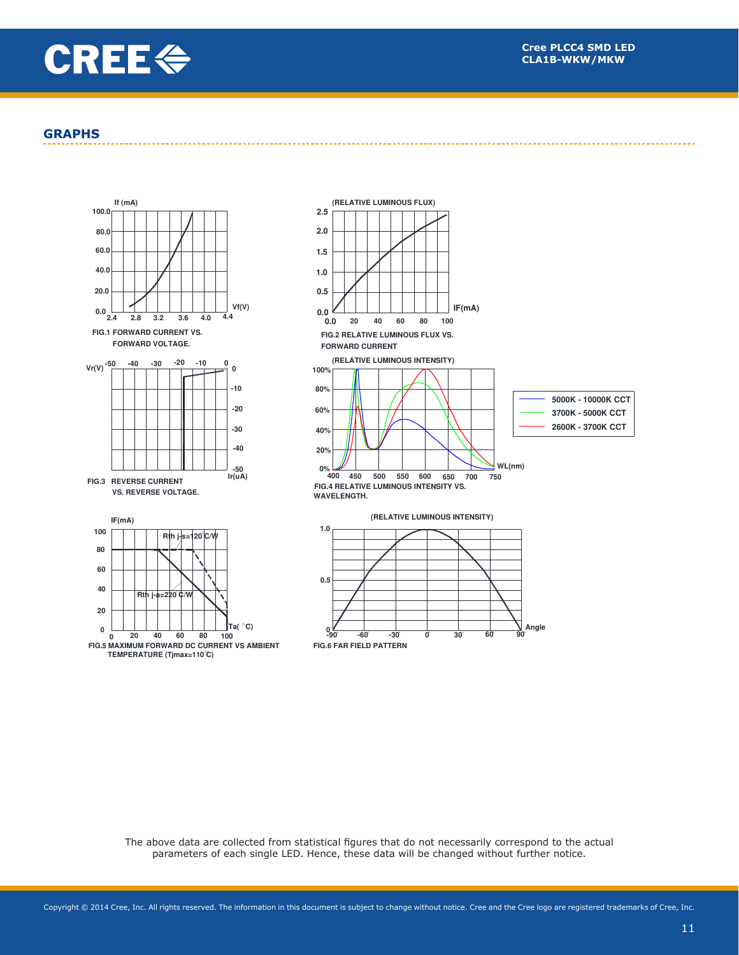

#### **GRAPHS**







The above data are collected from statistical figures that do not necessarily correspond to the actual parameters of each single LED. Hence, these data will be changed without further notice.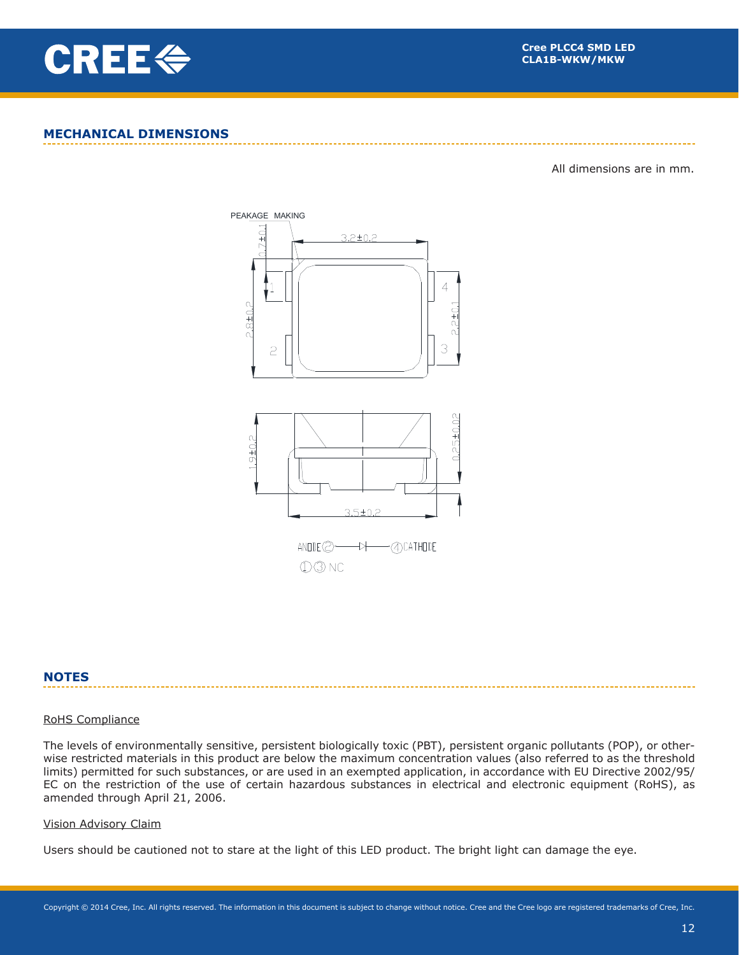

## **MECHANICAL DIMENSIONS**

All dimensions are in mm.



## **NOTES**

#### RoHS Compliance

The levels of environmentally sensitive, persistent biologically toxic (PBT), persistent organic pollutants (POP), or otherwise restricted materials in this product are below the maximum concentration values (also referred to as the threshold limits) permitted for such substances, or are used in an exempted application, in accordance with EU Directive 2002/95/ EC on the restriction of the use of certain hazardous substances in electrical and electronic equipment (RoHS), as amended through April 21, 2006.

#### Vision Advisory Claim

Users should be cautioned not to stare at the light of this LED product. The bright light can damage the eye.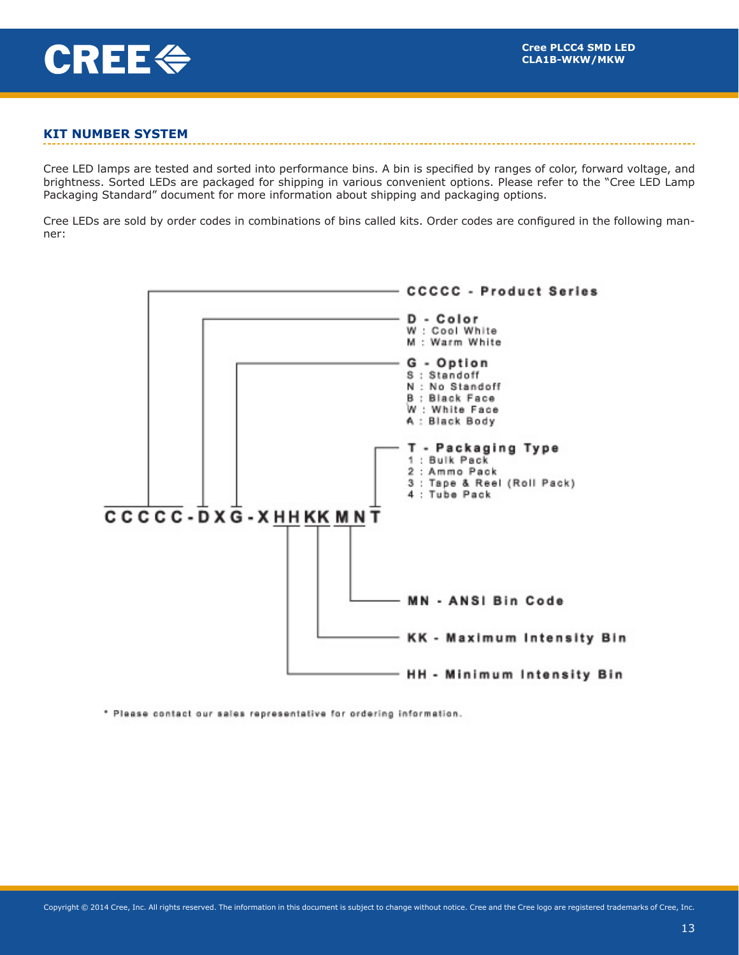

## **KIT NUMBER SYSTEM**

Cree LED lamps are tested and sorted into performance bins. A bin is specified by ranges of color, forward voltage, and brightness. Sorted LEDs are packaged for shipping in various convenient options. Please refer to the "Cree LED Lamp Packaging Standard" document for more information about shipping and packaging options.

Cree LEDs are sold by order codes in combinations of bins called kits. Order codes are configured in the following manner:



\* Please contact our sales representative for ordering information.